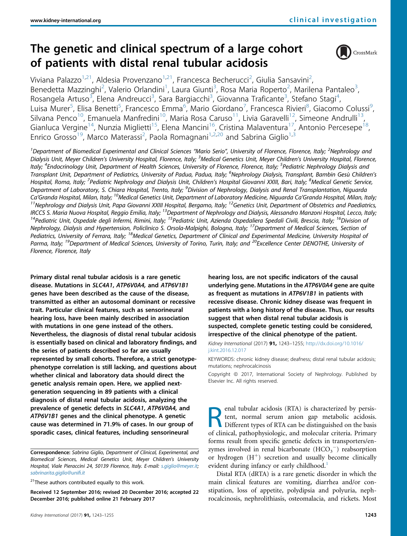# The genetic and clinical spectrum of a large cohort of patients with distal renal tubular acidosis



Viviana Palazzo $^{1,21}$ , Aldesia Provenzano $^{1,21}$ , Francesca Becherucci<sup>2</sup>, Giulia Sansavini<sup>2</sup> , Benedetta Mazzinghi<sup>2</sup>, Valerio Orlandini<sup>1</sup>, Laura Giunti<sup>3</sup>, Rosa Maria Roperto<sup>2</sup>, Marilena Pantaleo<sup>3</sup> , Rosangela Artuso<sup>3</sup>, Elena Andreucci<sup>3</sup>, Sara Bargiacchi<sup>3</sup>, Giovanna Traficante<sup>3</sup>, Stefano Stagi<sup>4</sup> , Luisa Murer<sup>5</sup>, Elisa Benetti<sup>5</sup>, Francesco Emma<sup>6</sup>, Mario Giordano<sup>7</sup>, Francesca Rivieri<sup>8</sup>, Giacomo Colussi<sup>9</sup> , Silvana Penco<sup>10</sup>, Emanuela Manfredini<sup>10</sup>, Maria Rosa Caruso<sup>11</sup>, Livia Garavelli<sup>12</sup>, Simeone Andrulli<sup>13</sup>, Gianluca Vergine<sup>14</sup>, Nunzia Miglietti<sup>15</sup>, Elena Mancini<sup>16</sup>, Cristina Malaventura<sup>17</sup>, Antonio Percesepe<sup>18</sup>, Enrico Grosso<sup>19</sup>, Marco Materassi<sup>2</sup>, Paola Romagnani<sup>1,2,20</sup> and Sabrina Giglio<sup>1,3</sup>

<sup>1</sup>Department of Biomedical Experimental and Clinical Sciences "Mario Serio", University of Florence, Florence, Italy; <sup>2</sup>Nephrology and Dialysis Unit, Meyer Children's University Hospital, Florence, Italy; <sup>3</sup>Medical Genetics Unit, Meyer Children's University Hospital, Florence, Italy; <sup>4</sup>Endocrinology Unit, Department of Health Sciences, University of Florence, Florence, Italy; <sup>5</sup>Pediatric Nephrology Dialysis and Transplant Unit, Department of Pediatrics, University of Padua, Padua, Italy; <sup>6</sup>Nephrology Dialysis, Transplant, Bambin Gesù Children's Hospital, Roma, Italy; <sup>7</sup>Pediatric Nephrology and Dialysis Unit, Children's Hospital Giovanni XXIII, Bari, Italy; <sup>8</sup>Medical Genetic Service, Department of Laboratory, S. Chiara Hospital, Trento, Italy; <sup>9</sup>Division of Nephrology, Dialysis and Renal Transplantation, Niguarda Ca'Granda Hospital, Milan, Italy; <sup>10</sup>Medical Genetics Unit, Department of Laboratory Medicine, Niguarda Ca'Granda Hospital, Milan, Italy;<br><sup>11</sup>Nephrology and Dialysis Unit, Papa Giovanni XXIII Hospital, Bergamo, Italy; <sup>12</sup> IRCCS S. Maria Nuova Hospital, Reggio Emilia, Italy; <sup>13</sup>Department of Nephrology and Dialysis, Alessandro Manzoni Hospital, Lecco, Italy;<br><sup>14</sup>Pediatric Unit, Ospedale degli Infermi, Rimini, Italy; <sup>15</sup>Pediatric Unit, Azie Nephrology, Dialysis and Hypertension, Policlinico S. Orsola-Malpighi, Bologna, Italy; <sup>17</sup>Department of Medical Sciences, Section of Pediatrics, University of Ferrara, Italy; <sup>18</sup>Medical Genetics, Department of Clinical and Experimental Medicine, University Hospital of Parma, Italy; <sup>19</sup>Department of Medical Sciences, University of Torino, Turin, Italy; and <sup>20</sup>Excellence Center DENOTHE, University of Florence, Florence, Italy

Primary distal renal tubular acidosis is a rare genetic disease. Mutations in SLC4A1, ATP6V0A4, and ATP6V1B1 genes have been described as the cause of the disease, transmitted as either an autosomal dominant or recessive trait. Particular clinical features, such as sensorineural hearing loss, have been mainly described in association with mutations in one gene instead of the others. Nevertheless, the diagnosis of distal renal tubular acidosis is essentially based on clinical and laboratory findings, and the series of patients described so far are usually represented by small cohorts. Therefore, a strict genotypephenotype correlation is still lacking, and questions about whether clinical and laboratory data should direct the genetic analysis remain open. Here, we applied nextgeneration sequencing in 89 patients with a clinical diagnosis of distal renal tubular acidosis, analyzing the prevalence of genetic defects in SLC4A1, ATP6V0A4, and ATP6V1B1 genes and the clinical phenotype. A genetic cause was determined in 71.9% of cases. In our group of sporadic cases, clinical features, including sensorineural

 $21$ These authors contributed equally to this work.

hearing loss, are not specific indicators of the causal underlying gene. Mutations in the ATP6V0A4 gene are quite as frequent as mutations in ATP6V1B1 in patients with recessive disease. Chronic kidney disease was frequent in patients with a long history of the disease. Thus, our results suggest that when distal renal tubular acidosis is suspected, complete genetic testing could be considered, irrespective of the clinical phenotype of the patient.

Kidney International (2017) 91, 1243–1255; [http://dx.doi.org/10.1016/](http://dx.doi.org/10.1016/j.kint.2016.12.017) [j.kint.2016.12.017](http://dx.doi.org/10.1016/j.kint.2016.12.017)

KEYWORDS: chronic kidney disease; deafness; distal renal tubular acidosis; mutations; nephrocalcinosis

Copyright © 2017, International Society of Nephrology. Published by Elsevier Inc. All rights reserved.

**Renal tubular acidosis (RTA) is characterized by persistent, normal serum anion gap metabolic acidosis.**<br>Different types of RTA can be distinguished on the basis of clinical pathophyciologic and molecular criteria. Primar tent, normal serum anion gap metabolic acidosis. Different types of RTA can be distinguished on the basis of clinical, pathophysiologic, and molecular criteria. Primary forms result from specific genetic defects in transporters/enzymes involved in renal bicarbonate  $(HCO_3^-)$  reabsorption or hydrogen  $(H^+)$  secretion and usually become clinically evident during infancy or early childhood. $<sup>1</sup>$  $<sup>1</sup>$  $<sup>1</sup>$ </sup>

Distal RTA (dRTA) is a rare genetic disorder in which the main clinical features are vomiting, diarrhea and/or constipation, loss of appetite, polydipsia and polyuria, nephrocalcinosis, nephrolithiasis, osteomalacia, and rickets. Most

Correspondence: Sabrina Giglio, Department of Clinical, Experimental, and Biomedical Sciences, Medical Genetics Unit, Meyer Children's University Hospital, Viale Pieraccini 24, 50139 Florence, Italy. E-mail: [s.giglio@meyer.it](mailto:s.giglio@meyer.it); [sabrinarita.giglio@uni](mailto:sabrinarita.giglio@unifi.it)fi.it

Received 12 September 2016; revised 20 December 2016; accepted 22 December 2016; published online 21 February 2017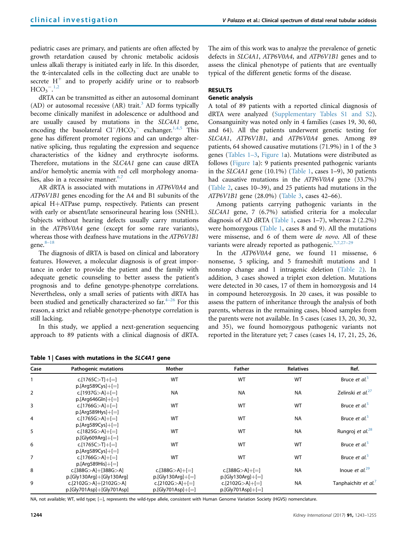<span id="page-1-0"></span>pediatric cases are primary, and patients are often affected by growth retardation caused by chronic metabolic acidosis unless alkali therapy is initiated early in life. In this disorder, the  $\alpha$ -intercalated cells in the collecting duct are unable to secrete  $H^+$  and to properly acidify urine or to reabsorb  $HCO_3^{-1,2}$  $HCO_3^{-1,2}$  $HCO_3^{-1,2}$ 

dRTA can be transmitted as either an autosomal dominant  $(AD)$  or autosomal recessive  $(AR)$  trait.<sup>[3](#page-11-0)</sup> AD forms typically become clinically manifest in adolescence or adulthood and are usually caused by mutations in the SLC4A1 gene, encoding the basolateral  $Cl^-/HCO_3^-$  exchanger.<sup>[1,4,5](#page-11-0)</sup> This gene has different promoter regions and can undergo alternative splicing, thus regulating the expression and sequence characteristics of the kidney and erythrocyte isoforms. Therefore, mutations in the SLC4A1 gene can cause dRTA and/or hemolytic anemia with red cell morphology anomalies, also in a recessive manner. $6,7$ 

AR dRTA is associated with mutations in ATP6V0A4 and ATP6V1B1 genes encoding for the A4 and B1 subunits of the apical H+ATPase pump, respectively. Patients can present with early or absent/late sensorineural hearing loss (SNHL). Subjects without hearing defects usually carry mutations in the ATP6V0A4 gene (except for some rare variants), whereas those with deafness have mutations in the ATP6V1B1 gene.<sup>8–[18](#page-12-0)</sup>

The diagnosis of dRTA is based on clinical and laboratory features. However, a molecular diagnosis is of great importance in order to provide the patient and the family with adequate genetic counseling to better assess the patient's prognosis and to define genotype-phenotype correlations. Nevertheless, only a small series of patients with dRTA has been studied and genetically characterized so far.<sup>4–[26](#page-12-0)</sup> For this reason, a strict and reliable genotype-phenotype correlation is still lacking.

In this study, we applied a next-generation sequencing approach to 89 patients with a clinical diagnosis of dRTA.

|  |  |  |  | Table 1   Cases with mutations in the SLC4A1 gene |  |  |  |  |
|--|--|--|--|---------------------------------------------------|--|--|--|--|
|--|--|--|--|---------------------------------------------------|--|--|--|--|

The aim of this work was to analyze the prevalence of genetic defects in SLC4A1, ATP6V0A4, and ATP6V1B1 genes and to assess the clinical phenotype of patients that are eventually typical of the different genetic forms of the disease.

# RESULTS

### Genetic analysis

A total of 89 patients with a reported clinical diagnosis of dRTA were analyzed (Supplementary Tables S1 and S2). Consanguinity was noted only in 4 families (cases 19, 30, 60, and 64). All the patients underwent genetic testing for SLC4A1, ATP6V1B1, and ATP6V0A4 genes. Among 89 patients, 64 showed causative mutations (71.9%) in 1 of the 3 genes (Tables 1–3, [Figure 1a](#page-6-0)). Mutations were distributed as follows [\(Figure 1a](#page-6-0)): 9 patients presented pathogenic variants in the SLC4A1 gene (10.1%) (Table 1, cases 1–9), 30 patients had causative mutations in the ATP6V0A4 gene (33.7%) ([Table 2,](#page-2-0) cases 10–39), and 25 patients had mutations in the ATP6V1B1 gene (28.0%) ([Table 3](#page-4-0), cases 42–66).

Among patients carrying pathogenic variants in the SLC4A1 gene, 7 (6.7%) satisfied criteria for a molecular diagnosis of AD dRTA (Table 1, cases 1–7), whereas 2 (2.2%) were homozygous (Table 1, cases 8 and 9). All the mutations were missense, and 6 of them were de novo. All of these variants were already reported as pathogenic.<sup>[5,7,27](#page-12-0)-29</sup>

In the ATP6V0A4 gene, we found 11 missense, 6 nonsense, 5 splicing, and 5 frameshift mutations and 1 nonstop change and 1 intragenic deletion [\(Table 2\)](#page-2-0). In addition, 3 cases showed a triplet exon deletion. Mutations were detected in 30 cases, 17 of them in homozygosis and 14 in compound heterozygosis. In 20 cases, it was possible to assess the pattern of inheritance through the analysis of both parents, whereas in the remaining cases, blood samples from the parents were not available. In 5 cases (cases 13, 20, 30, 32, and 35), we found homozygous pathogenic variants not reported in the literature yet; 7 cases (cases 14, 17, 21, 25, 26,

| Case           | <b>Pathogenic mutations</b>                        | Mother                                     | <b>Father</b>                              | <b>Relatives</b> | Ref.                             |
|----------------|----------------------------------------------------|--------------------------------------------|--------------------------------------------|------------------|----------------------------------|
|                | $c.[1765C>TI+[=]$                                  | WT                                         | <b>WT</b>                                  | WT               | Bruce et al. <sup>5</sup>        |
| $\overline{2}$ | $p.[Arg589Cys]+[=]$<br>c.[1937G $>$ Al+[=]         | <b>NA</b>                                  | <b>NA</b>                                  | <b>NA</b>        | Zelinski et al. <sup>27</sup>    |
| 3              | $p.[Arg646Gln]+[=]$<br>c.[1766G $>$ Al+[=]         | WT                                         | <b>WT</b>                                  | WT               | Bruce et al. <sup>5</sup>        |
| $\overline{4}$ | $p.[Arg589Hys]+[=]$<br>c.[1765G $>$ Al+[=]         | WT                                         | WT                                         | <b>NA</b>        | Bruce et al. <sup>5</sup>        |
|                | $p.[Arg589Cys]+[=]$                                |                                            |                                            |                  |                                  |
| 5              | c.[1825G $>$ Al+[=]<br>$p.[Gly609Ara]+[=]$         | <b>WT</b>                                  | <b>WT</b>                                  | <b>NA</b>        | Rungroj et al. <sup>28</sup>     |
| 6              | $c.[1765C>TI+[-]$<br>$p.[Arg589Cys]+[=]$           | <b>WT</b>                                  | <b>WT</b>                                  | <b>WT</b>        | Bruce et al. <sup>5</sup>        |
| 7              | $c.[1766G>A]+[=]$<br>$p.[Arg589His]+[=]$           | WT                                         | <b>WT</b>                                  | WT               | Bruce et al. <sup>5</sup>        |
| 8              | c.[388G>A]+[388G>A]<br>p.[Gly130Arg]+[Gly130Arg]   | c.[388G $>$ Al+[=]<br>$p.[Gly130Arg]+[=]$  | c.[388G $>$ A]+[=]<br>$p.[Gly130Arg]+[=]$  | <b>NA</b>        | Inoue et $al^{29}$               |
| 9              | c.[2102G>A]+[2102G>A]<br>p.[Gly701Asp]+[Gly701Asp] | $c.[2102G > A]+[=]$<br>$p.[Gly701Asp]+[=]$ | c.[2102G $>$ A]+[=]<br>$p.[Gly701Asp]+[=]$ | <b>NA</b>        | Tanphaichitr et al. <sup>7</sup> |

NA, not available; WT, wild type; [=], represents the wild-type allele, consistent with Human Genome Variation Society (HGVS) nomenclature.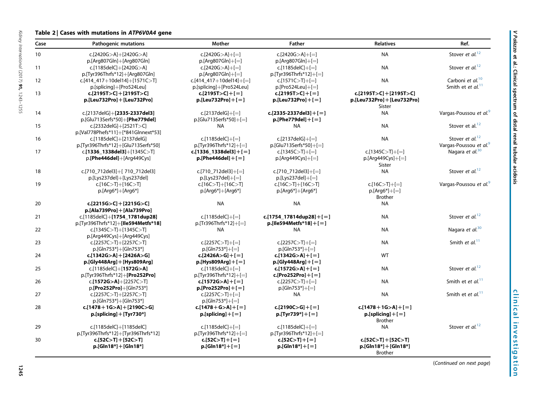# Table 2 | Cases with mutations in ATP6V0A4 gene

| Case            | <b>Pathogenic mutations</b>            | Mother                   | <b>Father</b>               | <b>Relatives</b>            | Ref.                               |
|-----------------|----------------------------------------|--------------------------|-----------------------------|-----------------------------|------------------------------------|
| 10 <sup>°</sup> | c.[2420G>A]+[2420G>A]                  | $c.[2420G>A]+[=]$        | $c.[2420G>A]+[=]$           | <b>NA</b>                   | Stover et al. <sup>12</sup>        |
|                 | p.[Arg807Gln]+[Arg807Gln]              | $p.[Arg807Gln]+[=]$      | $p.[Arg807Gln]+[=]$         |                             |                                    |
| 11              | c.[1185delC]+[2420G>A]                 | c.[2420G $>$ A]+[=]      | c.[1185delC]+[=]            | <b>NA</b>                   | Stover et al. <sup>12</sup>        |
|                 | p.[Tyr396Thrfs*12]+[Arg807Gln]         | $p.[Arg807Gln]+[=]$      | $p.[Tyr396Thrfs*12]+[=]$    |                             |                                    |
| 12              | c.[414 417+10del14]+[1571C>T]          | c.[414 417+10del14]+[=]  | $c.[1571C>TI+[=]$           | <b>NA</b>                   | Carboni et al. <sup>10</sup>       |
|                 | p.[splicing]+[Pro524Leu]               | p.[splicing]+[Pro524Leu] | $p.[Pro524Leu]+[=]$         |                             | Smith et et al. <sup>11</sup>      |
| 13              | $c.[2195T>C]+[2195T>C]$                | c.[2195T>C]+[=]          | c.[2195T>C]+[=]             | $c.[2195T>C]+[2195T>C]$     |                                    |
|                 | p.[Leu732Pro] + [Leu732Pro]            | $p.[Leu732Pro]+[=]$      | $p.[Leu732Pro]+[=]$         | p.[Leu732Pro] + [Leu732Pro] |                                    |
|                 |                                        |                          |                             | Sister                      |                                    |
| 14              | c.[2137delG]+[2335-2337del3]           | c.[2137delG]+[=]         | c.[2335-2337del3] + [ $=$ ] | <b>NA</b>                   | Vargas-Poussou et al. <sup>9</sup> |
|                 | p.[Glu713Serfs*50]+[Phe779del]         | p.[Glu713Serfs*50]+[=]   | $p.[Phe779del]+[=]$         |                             |                                    |
| 15              | c.[2332delG]+[2521T>C]                 | <b>NA</b>                | <b>NA</b>                   | <b>NA</b>                   | Stover et al. <sup>12</sup>        |
|                 | p.[Val778Phefs*11]+[*841Glnnext*53]    |                          |                             |                             |                                    |
| 16              | c.[1185delC]+[2137delG]                | c.[1185delC]+[=]         | c.[2137delG] $+$ [=]        | <b>NA</b>                   | Stover et al. <sup>12</sup>        |
|                 | p.[Tyr396Thrfs*12]+[Glu713Serfs*50]    | $p.[Tyr396Thrfs*12]+[=]$ | $p.[Glu713Serfs*50]+[=]$    |                             | Vargas-Poussou et al. <sup>9</sup> |
| 17              | c.[1336_1338del3]+[1345C>T]            | c.[1336_1338del3] + [=]  | c.[1345C $>$ T]+[=]         | c.[1345C $>$ T]+[=]         | Nagara et al. <sup>30</sup>        |
|                 | p.[Phe446del]+[Arg449Cys]              | $p.[Phe446del]+[=]$      | $p.[Arg449Cys]+[=]$         | $p.[Arg449Cys]+[=]$         |                                    |
|                 |                                        |                          |                             | Sister                      |                                    |
| 18              | c.[710_712del3]+[710_712del3]          | c.[710_712del3]+[=]      | c.[710_712del3]+[=]         | <b>NA</b>                   | Stover et al. <sup>12</sup>        |
|                 | p.[Lys237del]+[Lys237del]              | $p.[Lys237del]+[=]$      | $p.[Lys237del]+[=]$         |                             |                                    |
| 19              | $c.[16C>TI+[16C>TI]$                   | $c.[16C>T]+[16C>T]$      | c.[16C>T]+[16C>T]           | c.[16C $>$ T]+[=]           | Vargas-Poussou et al. <sup>9</sup> |
|                 | $p.[Arg6*]+[Arg6*]$                    | $p.[Arg6*]+[Arg6*]$      | p.[Arg6*]+[Arg6*]           | $p.[Arg6*]+[=]$             |                                    |
|                 |                                        |                          |                             | <b>Brother</b>              |                                    |
| 20              | c.[2215G>C] + [2215G>C]                | <b>NA</b>                | <b>NA</b>                   | NA                          |                                    |
|                 | p.[Ala739Pro] + [Ala739Pro]            |                          |                             |                             |                                    |
| 21              | c.[1185delC]+[1754 1781dup28]          | $c.[1185delCl+[-]$       | c.[1754 17814dup28] + [=]   | <b>NA</b>                   | Stover et al. <sup>12</sup>        |
|                 | p. [Tyr396Thrfs*12] + [Ile594Metfs*18] | $p.[Tr396Thrfs*12]+[=]$  | $p.[lle594Mets*18]+[=]$     |                             |                                    |
| 22              | c.[1345C $>$ T]+[1345C $>$ T]          | <b>NA</b>                | <b>NA</b>                   | <b>NA</b>                   | Nagara et al. <sup>30</sup>        |
|                 |                                        |                          |                             |                             |                                    |
|                 | p.[Arg449Cys]+[Arg449Cys]              |                          |                             | <b>NA</b>                   | Smith et $al$ . <sup>11</sup>      |
| 23              | c.[2257C>T]+[2257C>T]                  | c.[2257C $>$ T]+[=]      | c.[2257C $>$ T]+[=]         |                             |                                    |
|                 | p.[Gln753*]+[Gln753*]                  | $p.[Gln753*]+[=]$        | $p.[Gln753*]+[=]$           |                             |                                    |
| 24              | c.[1342G>A]+[2426A>G]                  | $c.[2426A>G]+[=]$        | c.[1342G>A]+[=]             | <b>WT</b>                   |                                    |
|                 | $p.[Gly448Arg]+[Hys809Arg]$            | $p.[Hys809Arg]+[=]$      | $p.[Gly448Arg]+[=]$         |                             |                                    |
| 25              | c.[1185delC]+[1572G>A]                 | c.[1185delC]+[=]         | c.[1572G>A]+[=]             | <b>NA</b>                   | Stover et al. <sup>12</sup>        |
|                 | p. [Tyr396Thrfs*12] + [Pro252Pro]      | $p.[Tyr396Thrfs*12]+[=]$ | c.[Pro252Pro] + [ $=$ ]     |                             |                                    |
| 26              | c.[1572G>A]+[2257C>T]                  | c.[1572G>A]+[=]          | $c.[2257C>TI+[-]$           | <b>NA</b>                   | Smith et et al. <sup>11</sup>      |
|                 | p.[Pro252Pro]+[Gln753*]                | $p.[Pro252Pro]+[=]$      | p.[Gln753*]+[=]             |                             |                                    |
| 27              | $c.[2257C>TI+[2257C>T]$                | $c.[2257C>TI+[=]$        | <b>NA</b>                   | <b>NA</b>                   | Smith et et al. <sup>11</sup>      |
|                 | p.[Gln753*]+[Gln753*]                  | $p.[Gln753*]+[=]$        |                             |                             |                                    |
| 28              | c.[1478+1G>A]+[2190C>G]                | c.[1478 + G > A] + [ = ] | c.[2190C>G]+[=]             | c.[1478 + 1G > A] + [ = ]   |                                    |
|                 | $p.[spliting] + [Tyr730*]$             | $p.[spliting]+[=]$       | $p.[Tyr739*]+[=]$           | $p.[spliting]+[=]$          |                                    |
|                 |                                        |                          |                             | <b>Brother</b>              |                                    |
| 29              | c.[1185delC]+[1185delC]                | c.[1185delC]+[=]         | c.[1185delC]+[=]            | NA                          | Stover et al. <sup>12</sup>        |
|                 | p.[Tyr396Thrfs*12]+[Tyr396Thrfs*12]    | p.[Tyr396Thrfs*12]+[=]   | p.[Tyr396Thrfs*12]+[=]      |                             |                                    |
| 30              | $c.[52C>T]+[52C>T]$                    | c.[52C>T]+[=]            | $c.[52C>$ T] + [ = ]        | $c.[52C>T]+[52C>T]$         |                                    |
|                 | $p.[Gln18*]+[Gln18*]$                  | $p.[Gln18*]+[=]$         | $p.[GIn18*]+[=]$            | $p.[Gln18*]+[Gln18*]$       |                                    |
|                 |                                        |                          |                             | Brother                     |                                    |

(Continued on next page)

<span id="page-2-0"></span>Kidney International

(2017) 91,

1243–1255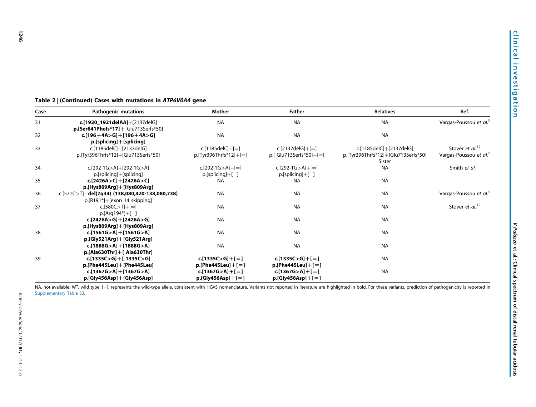## Table 2 | (Continued) Cases with mutations in ATP6V0A4 gene

| Case | <b>Pathogenic mutations</b>                                            | Mother                   | Father                    | <b>Relatives</b>                              | Ref.                               |
|------|------------------------------------------------------------------------|--------------------------|---------------------------|-----------------------------------------------|------------------------------------|
| 31   | c.[1920_1921delAA]+[2137delG]<br>p.[Ser641Phefs*17] + [Glu713Serfs*50] | <b>NA</b>                | <b>NA</b>                 | <b>NA</b>                                     | Vargas-Poussou et al. <sup>9</sup> |
| 32   | $c.[196+4A>G]+[196+4A>G]$                                              | <b>NA</b>                | <b>NA</b>                 | <b>NA</b>                                     |                                    |
|      | $p.[spliting] + [spliting]$                                            |                          |                           |                                               |                                    |
| 33   | c.[1185delC]+[2137delG]                                                | c.[1185delC $]+$ [=]     | $c.[2137delG]+[=]$        | c.[1185delC]+[2137delG]                       | Stover et al. <sup>12</sup>        |
|      | p.[Tyr396Thrfs*12]+[Glu713Serfs*50]                                    | $p.[Tyr396Thrfs*12]+[=]$ | p.[ $Glu713Serfs*50]+[=]$ | p.[Tyr396Thrfs*12]+[Glu713Serfs*50]<br>Sister | Vargas-Poussou et al. <sup>9</sup> |
| 34   | c.[292-1G>A]+[292-1G>A]                                                | c.[292-1G $>$ A]+[=]     | c.[292-1G $>$ A]+[=]      | <b>NA</b>                                     | Smith et $al.^{11}$                |
|      | p.[splicing]+[splicing]                                                | $p.[spliting]+[=]$       | $p.[spliting]+[=]$        |                                               |                                    |
| 35   | $c.[2426A>C]+[2426A>C]$                                                | <b>NA</b>                | <b>NA</b>                 | <b>NA</b>                                     |                                    |
|      | $p.[Hys809Arg]+[Hys809Arg]$                                            |                          |                           |                                               |                                    |
| 36   | c.[571C>T]+del(7q34) (138,080,420-138,080,738)                         | <b>NA</b>                | <b>NA</b>                 | <b>NA</b>                                     | Vargas-Poussou et al. <sup>9</sup> |
|      | $p.[R191*]+[exon 14 skippinq]$                                         |                          |                           |                                               |                                    |
| 37   | c.[580C $>$ T]+[=]                                                     | <b>NA</b>                | <b>NA</b>                 | <b>NA</b>                                     | Stover et al. <sup>12</sup>        |
|      | $p.[Arg194*]+[=]$                                                      |                          |                           |                                               |                                    |
|      | $c.[2426A>G]+[2426A>G]$                                                | <b>NA</b>                | <b>NA</b>                 | <b>NA</b>                                     |                                    |
|      | $p.[Hys809Arg]+[Hys809Arg]$                                            |                          |                           |                                               |                                    |
| 38   | c.[1561G>A]+[1561G>A]                                                  | <b>NA</b>                | <b>NA</b>                 | <b>NA</b>                                     |                                    |
|      | p.[Gly521Arg] + [Gly521Arg]                                            |                          |                           |                                               |                                    |
|      | c.[1888G>A]+[1888G>A]                                                  | <b>NA</b>                | <b>NA</b>                 | <b>NA</b>                                     |                                    |
|      | $p.[Ala630Thr]+[Ala630Thr]$                                            |                          |                           |                                               |                                    |
| 39   | c.[1335C>G]+[ 1335C>G]                                                 | c.[1335C>G]+[=]          | c.[1335C>G]+[=]           | <b>NA</b>                                     |                                    |
|      | $p.[Phe445Leu]+[Phe445Leu]$                                            | $p.[Phe445Leu]+[=]$      | $p.[Phe445Leu]+[=]$       |                                               |                                    |
|      | $c.[1367G>A]+[1367G>A]$                                                | c.[1367G>A] + [=]        | c.[1367G>A]+[=]           | <b>NA</b>                                     |                                    |
|      | p.[Gly456Asp] + [Gly456Asp]                                            | $p.[Gly456Asp]+[=]$      | $p.[Gly456Asp]+[=]$       |                                               |                                    |

NA, not available; WT, wild type; [=], represents the wild-type allele, consistent with HGVS nomenclature. Variants not reported in literature are highlighted in bold. For these variants, prediction of pathogenicity is rep Supplementary Table S3.

1246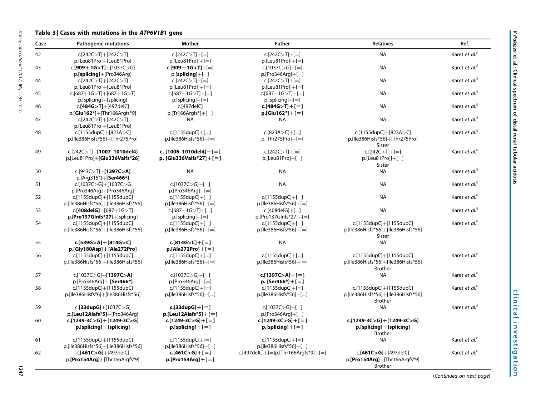# Table 3 | Cases with mutations in the  $ATP6V1B1$  gene

| Case | <b>Pathogenic mutations</b>               | Mother                        | <b>Father</b>                        | <b>Relatives</b>                    | Ref.                      |
|------|-------------------------------------------|-------------------------------|--------------------------------------|-------------------------------------|---------------------------|
| 42   | $c.[242C>TI+[242C>TI]$                    | $c.[242C>TI+[-]$              | $c.[242C>TI+[=]$                     | <b>NA</b>                           | Karet et al. <sup>8</sup> |
|      | p.[Leu81Pro]+[Leu81Pro]                   | $p.[Leu81Proj]+[=]$           | $p.[Leu81Proj]+[=]$                  |                                     |                           |
| 43   | c.[909+1G>T]+[1037C>G]                    | c.[909+1G>T]+[=]              | c.[1037C>G]+[=]                      | <b>NA</b>                           | Karet et al. <sup>8</sup> |
|      | p.[splicing]+[Pro346Arg]                  | $p.[spliting]+[=]$            | $p.[Pro346Arg]+[=]$                  |                                     |                           |
| 44   | c.[242C>T]+[242C>T]                       | $c.[242C>TI+[=]$              | c.[242C $>$ T]+[=]                   | <b>NA</b>                           | Karet et al. <sup>8</sup> |
|      | p.[Leu81Pro]+[Leu81Pro]                   | $p.[Leu81Proj]+[=]$           | $p.[Leu81Proj]+[=]$                  |                                     |                           |
| 45   | c.[687+1G>T]+[687+1G>T]                   | c.[687+1G>T]+[=]              | $c.[687+1G>$ T]+[=]                  | <b>NA</b>                           | Karet et al. <sup>8</sup> |
|      | p.[splicing]+[splicing]                   | $p.[spliting]+[=]$            | $p.[spliting]+[=]$                   |                                     |                           |
| 46   | c.[484G>T]+[497delC]                      | c.[497delC]                   | c.[484G>T] + [=]                     | <b>NA</b>                           | Karet et al. <sup>8</sup> |
|      | p.[Glu162*]+[Thr166Argfs*9]               | $p.[Tr166Argfs*]+[=]$         | $p.[Glu162*]+[=]$                    |                                     |                           |
| 47   | $c.[242C>TI+[242C>T]$                     | <b>NA</b>                     | <b>NA</b>                            | <b>NA</b>                           | Karet et al. <sup>8</sup> |
|      | p.[Leu81Pro]+[Leu81Pro]                   |                               |                                      |                                     |                           |
| 48   | c.[1155dupC]+[823A>C]                     | c.[1155dupC]+[=]              | c.[823A>C]+[=]                       | c.[1155dupC]+[823A>C]               | Karet et al. <sup>8</sup> |
|      | p.[Ile386Hisfs*56]+[Thr275Pro]            | $p.[$ lle386Hisfs*56]+[=]     | $p.[Thr275Pro]+[=]$                  | p.[lle386Hisfs*56]+[Thr275Pro]      |                           |
|      |                                           |                               |                                      | Sister                              |                           |
| 49   | c.[242C>T]+[1007 1010del4]                | c. [1006 1010del4] + [=]      | $c.[242C>TI+[=]$                     | $c.[242C>TI+[-]$                    | Karet et al. <sup>8</sup> |
|      | $p.[Leu81Proj+[Glu336Valfs*26]$           | p. [Glu336Valfs*27] + [ $=$ ] | $p.[Leu81Pro]+[=]$                   |                                     |                           |
|      |                                           |                               |                                      | $p.[Leu81Pro]]+[=]$                 |                           |
|      |                                           |                               |                                      | Sister                              | Karet et al. <sup>8</sup> |
| 50   | c.[943C>T]+[1397C>A]                      | ΝA                            | <b>NA</b>                            | <b>NA</b>                           |                           |
|      | p.[Arg315*]+[Ser466*]                     |                               |                                      |                                     |                           |
| 51   | c.[1037C>G]+[1037C>G                      | c.[1037C $>$ G]+[=]           | <b>NA</b>                            | <b>NA</b>                           | Karet et al. <sup>8</sup> |
|      | p.[Pro346Arg]+[Pro346Arg]                 | p.[Pro346Arg]+[=]             |                                      |                                     |                           |
| 52   | c.[1155dupC]+[1155dupC]                   | c.[1155dupC]+[=]              | c.[1155dupC]+[=]                     | <b>NA</b>                           | Karet et al. <sup>8</sup> |
|      | p.[lle386Hisfs*56]+[lle386Hisfs*56]       | $p.[$ lle386Hisfs*56]+[=]     | $p.[$ lle386Hisfs*56]+[=]            |                                     |                           |
| 53   | c.[408delG]+[687+1G>T]                    | c.[687+1G>T]+[=]              | c.[408delG] $+$ [=]                  | <b>NA</b>                           | Karet et al. <sup>8</sup> |
|      | p.[Pro137Glnfs*27]+[splicing]             | $p.[spliting]+[=]$            | $p.[Pro137Glnfs*27]+[=]$             |                                     |                           |
| 54   | c.[1155dupC]+[1155dupC]                   | c.[1155dupC]+[=]              | c.[1155dupC]+[=]                     | c.[1155dupC]+[1155dupC]             | Karet et al. <sup>8</sup> |
|      | p.[lle386Hisfs*56]+[lle386Hisfs*56]       | $p.[$ lle386Hisfs*56]+[=]     | $p.[lle386Hisfs*56]+[=]$             | p.[lle386Hisfs*56]+[lle386Hisfs*56] |                           |
|      |                                           |                               |                                      | Sister                              |                           |
| 55   | c.[539G>A]+[814G>C]                       | c.[814G>C] + [=]              | <b>NA</b>                            | <b>NA</b>                           |                           |
|      | $p.[Gly180Asp]+[Ala272Pro]$               | $p.[Ala272Pro]+[=]$           |                                      |                                     |                           |
| 56   | c.[1155dupC]+[1155dupC]                   | c.[1155dupC]+[=]              | c.[1155dupC]+[=]                     | c.[1155dupC]+[1155dupC]             | Karet et al. <sup>8</sup> |
|      | p.[Ile386Hisfs*56]+[Ile386Hisfs*56]       | $p.[$ lle386Hisfs*56]+[=]     | $p.[$ lle386Hisfs*56]+[=]            | p.[Ile386Hisfs*56]+[Ile386Hisfs*56] |                           |
|      |                                           |                               |                                      | <b>Brother</b>                      |                           |
| 57   | c.[1037C>G]+[ <b>1397C&gt;A</b> ]         | c.[1037C>G]+[=]               | c.[1397C>A]+[=]                      | <b>NA</b>                           | Karet et al. <sup>8</sup> |
|      | p.[Pro346Arg]+ [Ser466*]                  | $p.[Pro346Arg]+[=]$           | p. [Ser466*] + [ $=$ ]               |                                     |                           |
| 58   | c.[1155dupC]+[1155dupC]                   | c.[1155dupC]+[=]              | c.[1155dupC]+[=]                     | c.[1155dupC]+[1155dupC]             | Karet et al. <sup>8</sup> |
|      | $p.[$ lle386Hisfs*6] $+[$ lle386Hisfs*56] | $p.[$ lle386Hisfs*56]+[=]     | $p.[$ lle386Hisfs*56]+[=]            | p.[Ile386Hisfs*56]+[Ile386Hisfs*56] |                           |
|      |                                           |                               |                                      | <b>Brother</b>                      |                           |
| 59   | c.[33dupG]+[1037C>G]                      | c.[33dupG] + [ $=$ ]          | c.[1037C>G]+[=]                      | <b>NA</b>                           | Karet et al. <sup>8</sup> |
|      | p.[Leu12Alafs*5]+[Pro346Arg]              | $p.[Leu12Alafs*5]+[=]$        | $p.[Pro346Arg]+[=]$                  |                                     |                           |
| 60   | c.[1249-3C>G] + [1249-3C>G]               | c.[1249-3C>G] + [ = ]         | c.[1249-3C>G] + [ = ]                | c.[1249-3C>G] + [1249-3C>G]         |                           |
|      | $p.[spliting] + [spliting]$               | $p.[spliting]+[=]$            | $p.[spliting]+[=]$                   | $p.[spliting] + [spliting]$         |                           |
|      |                                           |                               |                                      | <b>Brother</b>                      |                           |
| 61   | c.[1155dupC]+[1155dupC]                   | c.[1155dupC]+[=]              | c.[1155dupC]+[=]                     | <b>NA</b>                           | Karet et al. <sup>8</sup> |
|      | p.[lle386Hisfs*56]+[lle386Hisfs*56]       | $p.[$ lle386Hisfs*56]+[=]     | $p.[$ lle386Hisfs*56]+[=]            |                                     |                           |
| 62   | c.[461C>G]+[497delC]                      | c.[461C>G]+[=]                | c.[497delC]+[=]p.[Thr166Argfs*9]+[=] | c.[461C>G]+[497delC]                | Karet et al. <sup>8</sup> |
|      | p.[Pro154Arg]+[Thr166Argfs*9]             | $p.[Pro154Arg]+[=]$           |                                      | p.[Pro154Arg]+[Thr166Argfs*9]       |                           |
|      |                                           |                               |                                      | Brother                             |                           |

(Continued on next page)

1247

<span id="page-4-0"></span>Kidney International

(2017) 91,

1243–1255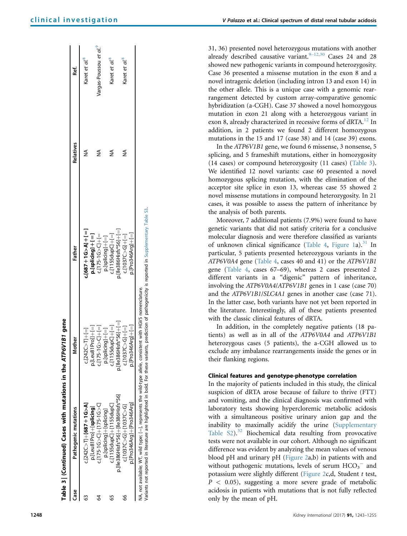| Case | Pathogenic mutations                                                                                                                                                   | Mother                        | Father                                                             | Relatives | Ref.                               |
|------|------------------------------------------------------------------------------------------------------------------------------------------------------------------------|-------------------------------|--------------------------------------------------------------------|-----------|------------------------------------|
|      |                                                                                                                                                                        |                               |                                                                    |           |                                    |
|      | $C[242C>7]+[687+16>A]$                                                                                                                                                 | $c[242C>7]+[=]$               | $-1 = 7 - 5 = 7$                                                   | ≶         | Karet et al. <sup>8</sup>          |
|      | p.[Leu81Pro]+[ <b>splicing</b> ]                                                                                                                                       | $0.$ [Leu81Pro]] $+$ [ $=$ ]  | $p.[splicing]+[=]$                                                 |           |                                    |
|      | U\9-15-1175-10<>U+U\9-15                                                                                                                                               | $[-]+[75-16>0]+[=]$           | $c.[175-1G>CI+E=$                                                  | ≸         | Vargas-Poussou et al. <sup>9</sup> |
|      | p.[splicing]+[splicing]                                                                                                                                                | $\frac{1}{1+1}$<br>p.[splicir | $p.[splicing]+[=]$                                                 |           |                                    |
|      | c.[1155dupC]+[1155dupC]                                                                                                                                                | $c.[1155dupC]+[=]$            | $c.[1155dupC]+[=]$                                                 | ≸         | Karet et al. <sup>8</sup>          |
|      | p.[lle386Hisfs*56]+[lle386Hisfs*56]                                                                                                                                    | $[-]$ +[6386Hisfs*56].        | $p.[le386Hisfs*56]+[=]$                                            |           |                                    |
|      | 「9 <j_sol]+[9<j_eol]?< td=""><td><math>c.[1037C&gt;G]+[=]</math></td><td><math>-1+5&lt;0.7</math></td><td>≸</td><td>Karet et al.<sup>8</sup></td></j_sol]+[9<j_eol]?<> | $c.[1037C>G]+[=]$             | $-1+5<0.7$                                                         | ≸         | Karet et al. <sup>8</sup>          |
|      | p.[Pro346Arg]+[Pro346Arg]                                                                                                                                              | $p_{ro346Arg1}$ = 1           | $p.[Pro346Arg]+[=]$                                                |           |                                    |
|      | VA, not available; WT, wild type; [=], represents the wild-type allele, consistent with HGVS nomenclature.                                                             |                               |                                                                    |           |                                    |
|      | Variants not reported in literature are highlighted in bold. For these variants,                                                                                       |                               | prediction of pathogenicity is reported in Supplementary Table S3. |           |                                    |

31, 36) presented novel heterozygous mutations with another already described causative variant. $9-12,30$  $9-12,30$  Cases 24 and 28 showed new pathogenic variants in compound heterozygosity. Case 36 presented a missense mutation in the exon 8 and a novel intragenic deletion (including intron 13 and exon 14) in the other allele. This is a unique case with a genomic rearrangement detected by custom array-comparative genomic hybridization (a-CGH). Case 37 showed a novel homozygous mutation in exon 21 along with a heterozygous variant in exon 8, already characterized in recessive forms of dRTA.<sup>[12](#page-12-0)</sup> In addition, in 2 patients we found 2 different homozygous mutations in the 15 and 17 (case 38) and 14 (case 39) exons.

In the ATP6V1B1 gene, we found 6 missense, 3 nonsense, 5 splicing, and 5 frameshift mutations, either in homozygosity (14 cases) or compound heterozygosity (11 cases) ([Table 3\)](#page-4-0). We identified 12 novel variants: case 60 presented a novel homozygous splicing mutation, with the elimination of the acceptor site splice in exon 13, whereas case 55 showed 2 novel missense mutations in compound heterozygosity. In 21 cases, it was possible to assess the pattern of inheritance by the analysis of both parents.

Moreover, 7 additional patients (7.9%) were found to have genetic variants that did not satisfy criteria for a conclusive molecular diagnosis and were therefore classified as variants of unknown clinical significance ([Table 4](#page-7-0), [Figure 1a](#page-6-0)).<sup>[31](#page-12-0)</sup> In particular, 5 patients presented heterozygous variants in the ATP6V0A4 gene [\(Table 4](#page-7-0), cases 40 and 41) or the ATP6V1B1 gene ([Table 4](#page-7-0), cases 67–69), whereas 2 cases presented 2 different variants in a "digenic" pattern of inheritance, involving the ATP6V0A4/ATP6V1B1 genes in 1 case (case 70) and the ATP6V1B1/SLC4A1 genes in another case (case 71). In the latter case, both variants have not yet been reported in the literature. Interestingly, all of these patients presented with the classic clinical features of dRTA.

In addition, in the completely negative patients (18 patients) as well as in all of the ATP6V0A4 and ATP6V1B1 heterozygous cases (5 patients), the a-CGH allowed us to exclude any imbalance rearrangements inside the genes or in their flanking regions.

#### Clinical features and genotype-phenotype correlation

In the majority of patients included in this study, the clinical suspicion of dRTA arose because of failure to thrive (FTT) and vomiting, and the clinical diagnosis was confirmed with laboratory tests showing hypercloremic metabolic acidosis with a simultaneous positive urinary anion gap and the inability to maximally acidify the urine (Supplementary Table S2).<sup>[32](#page-12-0)</sup> Biochemical data resulting from provocative tests were not available in our cohort. Although no significant difference was evident by analyzing the mean values of venous blood pH and urinary pH ([Figure 2a](#page-7-0),b) in patients with and without pathogenic mutations, levels of serum  $HCO_3^-$  and potassium were slightly different [\(Figure 2c](#page-7-0),d, Student t test,  $P < 0.05$ ), suggesting a more severe grade of metabolic acidosis in patients with mutations that is not fully reflected only by the mean of pH.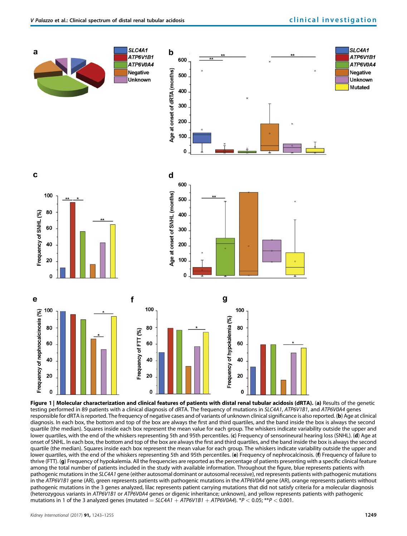<span id="page-6-0"></span>

testing performed in 89 patients with a clinical diagnosis of dRTA. The frequency of mutations in SLC4A1, ATP6V1B1, and ATP6V0A4 genes responsible for dRTA is reported. The frequency of negative cases and of variants of unknown clinical significance is also reported. (b) Age at clinical diagnosis. In each box, the bottom and top of the box are always the first and third quartiles, and the band inside the box is always the second quartile (the median). Squares inside each box represent the mean value for each group. The whiskers indicate variability outside the upper and lower quartiles, with the end of the whiskers representing 5th and 95th percentiles. (c) Frequency of sensorineural hearing loss (SNHL). (d) Age at onset of SNHL. In each box, the bottom and top of the box are always the first and third quartiles, and the band inside the box is always the second quartile (the median). Squares inside each box represent the mean value for each group. The whiskers indicate variability outside the upper and lower quartiles, with the end of the whiskers representing 5th and 95th percentiles. (e) Frequency of nephrocalcinosis. (f) Frequency of failure to thrive (FTT). (g) Frequency of hypokalemia. All the frequencies are reported as the percentage of patients presenting with a specific clinical feature among the total number of patients included in the study with available information. Throughout the figure, blue represents patients with pathogenic mutations in the SLC4A1 gene (either autosomal dominant or autosomal recessive), red represents patients with pathogenic mutations in the ATP6V1B1 gene (AR), green represents patients with pathogenic mutations in the ATP6V0A4 gene (AR), orange represents patients without pathogenic mutations in the 3 genes analyzed, lilac represents patient carrying mutations that did not satisfy criteria for a molecular diagnosis (heterozygous variants in ATP6V1B1 or ATP6V0A4 genes or digenic inheritance; unknown), and yellow represents patients with pathogenic mutations in 1 of the 3 analyzed genes (mutated  $= SLC4A1 + ATP6V1B1 + ATP6V0A4$ ). \*P < 0.05; \*\*P < 0.001.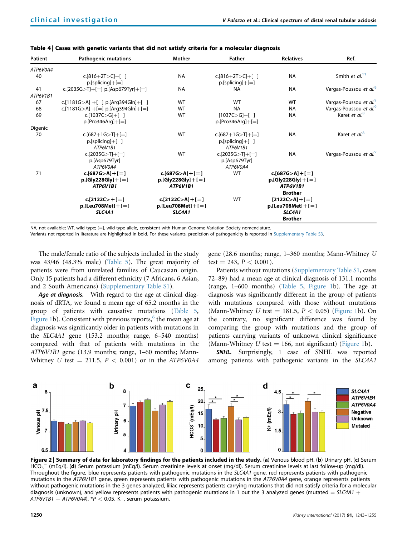| Patient  | <b>Pathogenic mutations</b>        | Mother              | Father              | <b>Relatives</b>    | Ref.                               |
|----------|------------------------------------|---------------------|---------------------|---------------------|------------------------------------|
| ATP6V0A4 |                                    |                     |                     |                     |                                    |
| 40       | $c.[816+2T>Cl+I=]$                 | <b>NA</b>           | $c.[816+2T>Cl+[=]$  | <b>NA</b>           | Smith et $al^{11}$                 |
|          | $p.[spliting]+[=]$                 |                     | $p.[spliting]+[=]$  |                     |                                    |
| 41       | c.[2035G>T]+[=] p.[Asp679Tyr]+[=]  | <b>NA</b>           | <b>NA</b>           | <b>NA</b>           | Vargas-Poussou et al. <sup>9</sup> |
| ATP6V1B1 |                                    |                     |                     |                     |                                    |
| 67       | c.[1181G>A] +[=] p.[Arg394Gln]+[=] | WT                  | WT                  | <b>WT</b>           | Vargas-Poussou et al. <sup>9</sup> |
| 68       | c.[1181G>A] +[=] p.[Arg394Gln]+[=] | WT                  | <b>NA</b>           | <b>NA</b>           | Vargas-Poussou et al. <sup>9</sup> |
| 69       | c.[1037C $>$ G]+[=]                | WT                  | $[1037C > G]+[=]$   | <b>NA</b>           | Karet et al. <sup>8</sup>          |
|          | $p.[Pro346Arg]+[=]$                |                     | $p.[Pro346Arg]+[=]$ |                     |                                    |
| Digenic  |                                    |                     |                     |                     |                                    |
| 70       | $c.[687+1G>TI+[=]$                 | WT                  | $c.[687+1G>TI+[=]$  | <b>NA</b>           | Karet et al. <sup>8</sup>          |
|          | $p.[spliting]+[=]$                 |                     | $p.[spliting]+[=]$  |                     |                                    |
|          | ATP6V1B1                           |                     | ATP6V1B1            |                     |                                    |
|          | $c.[2035G>T]+[=]$                  | WT                  | $c.[2035G>T]+[=]$   | <b>NA</b>           | Vargas-Poussou et al. <sup>9</sup> |
|          | p.[Asp679Tyr]                      |                     | p.[Asp679Tyr]       |                     |                                    |
|          | ATP6V0A4                           |                     | ATP6V0A4            |                     |                                    |
| 71       | c.[687G>A]+[=]                     | c.[687G>A]+[=]      | WT                  | c.[687G>A]+[=]      |                                    |
|          | $p.[Gly228Gly]+[=]$                | $p.[Gly228Gly]+[=]$ |                     | $p.[Gly228Gly]+[=]$ |                                    |
|          | <b>ATP6V1B1</b>                    | ATP6V1B1            |                     | <b>ATP6V1B1</b>     |                                    |
|          |                                    |                     |                     | <b>Brother</b>      |                                    |
|          | c.[2122C>+[=]                      | $c.[2122C>A]+[=]$   | WT                  | $[2122C> A]+ [ = ]$ |                                    |
|          | $p.[Leu708Met]+[=]$                | $p.[Leu708Met]+[=]$ |                     | $p.[Leu708Met]+[=]$ |                                    |
|          | SLC4A1                             | SLC4A1              |                     | SLC4A1              |                                    |
|          |                                    |                     |                     | <b>Brother</b>      |                                    |

<span id="page-7-0"></span>

| Table 4   Cases with genetic variants that did not satisfy criteria for a molecular diagnosis |  |
|-----------------------------------------------------------------------------------------------|--|
|-----------------------------------------------------------------------------------------------|--|

NA, not available; WT, wild type; [=], wild-type allele, consistent with Human Genome Variation Society nomenclature.

Variants not reported in literature are highlighted in bold. For these variants, prediction of pathogenicity is reported in Supplementary Table S3.

The male/female ratio of the subjects included in the study was 43/46 (48.3% male) [\(Table 5](#page-8-0)). The great majority of patients were from unrelated families of Caucasian origin. Only 15 patients had a different ethnicity (7 Africans, 6 Asian, and 2 South Americans) (Supplementary Table S1).

Age at diagnosis. With regard to the age at clinical diagnosis of dRTA, we found a mean age of 65.2 months in the group of patients with causative mutations [\(Table 5,](#page-8-0) [Figure 1b](#page-6-0)). Consistent with previous reports, $6$  the mean age at diagnosis was significantly older in patients with mutations in the SLC4A1 gene (153.2 months; range, 6–540 months) compared with that of patients with mutations in the ATP6V1B1 gene (13.9 months; range, 1–60 months; Mann-Whitney U test = 211.5,  $P < 0.001$ ) or in the ATP6V0A4 gene (28.6 months; range, 1–360 months; Mann-Whitney U test = 243,  $P < 0.001$ ).

Patients without mutations (Supplementary Table S1, cases 72–89) had a mean age at clinical diagnosis of 131.1 months (range, 1–600 months) ([Table 5](#page-8-0), [Figure 1b](#page-6-0)). The age at diagnosis was significantly different in the group of patients with mutations compared with those without mutations (Mann-Whitney U test = 181.5,  $P < 0.05$ ) [\(Figure 1b](#page-6-0)). On the contrary, no significant difference was found by comparing the group with mutations and the group of patients carrying variants of unknown clinical significance (Mann-Whitney U test  $= 166$ , not significant) ([Figure 1](#page-6-0)b).

SNHL. Surprisingly, 1 case of SNHL was reported among patients with pathogenic variants in the SLC4A1



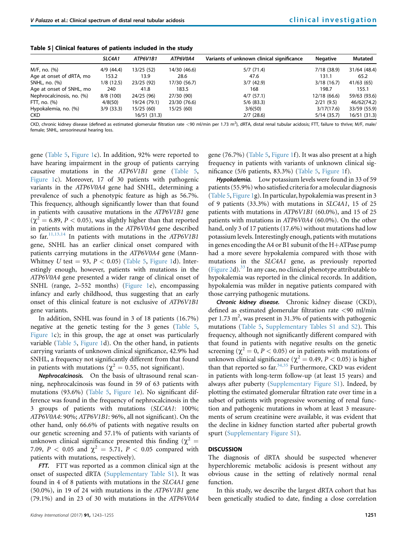|                           | SLC4A1       | ATP6V1B1     | ATP6V0A4     | Variants of unknown clinical significance | <b>Negative</b> | <b>Mutated</b> |
|---------------------------|--------------|--------------|--------------|-------------------------------------------|-----------------|----------------|
| M/F, no. (%)              | 4/9(44.4)    | 13/25(52)    | 14/30 (46.6) | 5/7(71.4)                                 | 7/18(38.9)      | 31/64 (48.4)   |
| Age at onset of dRTA, mo  | 153.2        | 13.9         | 28.6         | 47.6                                      | 131.1           | 65.2           |
| SNHL, no. (%)             | 1/8(12.5)    | 23/25 (92)   | 17/30 (56.7) | 3/7(42.9)                                 | 3/18(16.7)      | 41/63(65)      |
| Age at onset of SNHL, mo  | 240          | 41.8         | 183.5        | 168                                       | 198.7           | 155.1          |
| Nephrocalcinosis, no. (%) | 8/8 (100)    | 24/25 (96)   | 27/30 (90)   | 4/7(57.1)                                 | 12/18 (66.6)    | 59/63 (93.6)   |
| FTT, no. (%)              | 4/8(50)      | 19/24 (79.1) | 23/30 (76.6) | $5/6$ (83.3)                              | 2/21(9.5)       | 46/62(74.2)    |
| Hypokalemia, no. (%)      | $3/9$ (33.3) | 15/25(60)    | 15/25(60)    | 3/6(50)                                   | 3/17(17.6)      | 33/59 (55.9)   |
| CKD                       |              | 16/51(31.3)  |              | 2/7(28.6)                                 | 5/14(35.7)      | 16/51 (31.3)   |
|                           |              |              |              |                                           |                 |                |

<span id="page-8-0"></span>Table 5 | Clinical features of patients included in the study

CKD, chronic kidney disease (defined as estimated glomerular filtration rate <90 ml/min per 1.73 m<sup>2</sup>), dRTA, distal renal tubular acidosis; FTT, failure to thrive; M/F, male/ female; SNHL, sensorineural hearing loss.

gene (Table 5, [Figure 1](#page-6-0)c). In addition, 92% were reported to have hearing impairment in the group of patients carrying causative mutations in the ATP6V1B1 gene (Table 5, [Figure 1](#page-6-0)c). Moreover, 17 of 30 patients with pathogenic variants in the ATP6V0A4 gene had SNHL, determining a prevalence of such a phenotypic feature as high as 56.7%. This frequency, although significantly lower than that found in patients with causative mutations in the ATP6V1B1 gene  $(\chi^2 = 6.89, P < 0.05)$ , was slightly higher than that reported in patients with mutations in the ATP6V0A4 gene described so far.<sup>11,13,14</sup> In patients with mutations in the ATP6V1B1 gene, SNHL has an earlier clinical onset compared with patients carrying mutations in the ATP6V0A4 gene (Mann-Whitney U test = 93,  $P < 0.05$ ) (Table 5, [Figure 1](#page-6-0)d). Interestingly enough, however, patients with mutations in the ATP6V0A4 gene presented a wider range of clinical onset of SNHL (range, 2–552 months) [\(Figure 1](#page-6-0)e), encompassing infancy and early childhood, thus suggesting that an early onset of this clinical feature is not exclusive of ATP6V1B1 gene variants.

In addition, SNHL was found in 3 of 18 patients (16.7%) negative at the genetic testing for the 3 genes (Table 5, [Figure 1c](#page-6-0)); in this group, the age at onset was particularly variable (Table 5, [Figure 1d](#page-6-0)). On the other hand, in patients carrying variants of unknown clinical significance, 42.9% had SNHL, a frequency not significantly different from that found in patients with mutations ( $\chi^2 = 0.55$ , not significant).

Nephrocalcinosis. On the basis of ultrasound renal scanning, nephrocalcinosis was found in 59 of 63 patients with mutations (93.6%) (Table 5, [Figure 1e](#page-6-0)). No significant difference was found in the frequency of nephrocalcinosis in the 3 groups of patients with mutations (SLC4A1: 100%; ATP6V0A4: 90%; ATP6V1B1: 96%, all not significant). On the other hand, only 66.6% of patients with negative results on our genetic screening and 57.1% of patients with variants of unknown clinical significance presented this finding ( $\chi^2$  = 7.09,  $P < 0.05$  and  $\chi^2 = 5.71$ ,  $P < 0.05$  compared with patients with mutations, respectively).

FTT. FTT was reported as a common clinical sign at the onset of suspected dRTA (Supplementary Table S1). It was found in 4 of 8 patients with mutations in the SLC4A1 gene (50.0%), in 19 of 24 with mutations in the ATP6V1B1 gene (79.1%) and in 23 of 30 with mutations in the ATP6V0A4 gene (76.7%) (Table 5, [Figure 1f](#page-6-0)). It was also present at a high frequency in patients with variants of unknown clinical significance (5/6 patients, 83.3%) (Table 5, [Figure 1](#page-6-0)f).

Hypokalemia. Low potassium levels were found in 33 of 59 patients (55.9%) who satisfied criteria for a molecular diagnosis (Table 5, [Figure 1](#page-6-0)g). In particular, hypokalemia was present in 3 of 9 patients (33.3%) with mutations in SLC4A1, 15 of 25 patients with mutations in ATP6V1B1 (60.0%), and 15 of 25 patients with mutations in ATP6V0A4 (60.0%). On the other hand, only 3 of 17 patients (17.6%) without mutations had low potassium levels. Interestingly enough, patients with mutations in genes encoding the A4 or B1 subunit of the  $H+ATP$ ase pump had a more severe hypokalemia compared with those with mutations in the SLC4A1 gene, as previously reported ([Figure 2d](#page-7-0)).<sup>[33](#page-12-0)</sup> In any case, no clinical phenotype attributable to hypokalemia was reported in the clinical records. In addition, hypokalemia was milder in negative patients compared with those carrying pathogenic mutations.

Chronic kidney disease. Chronic kidney disease (CKD), defined as estimated glomerular filtration rate <90 ml/min per 1.73 m<sup>2</sup>, was present in 31.3% of patients with pathogenic mutations (Table 5, Supplementary Tables S1 and S2). This frequency, although not significantly different compared with that found in patients with negative results on the genetic screening ( $\chi^2 = 0$ ,  $P < 0.05$ ) or in patients with mutations of unknown clinical significance ( $\chi^2 = 0.49, P < 0.05$ ) is higher than that reported so far. $34,35$  Furthermore, CKD was evident in patients with long-term follow-up (at least 15 years) and always after puberty (Supplementary Figure S1). Indeed, by plotting the estimated glomerular filtration rate over time in a subset of patients with progressive worsening of renal function and pathogenic mutations in whom at least 3 measurements of serum creatinine were available, it was evident that the decline in kidney function started after pubertal growth spurt (Supplementary Figure S1).

#### **DISCUSSION**

The diagnosis of dRTA should be suspected whenever hyperchloremic metabolic acidosis is present without any obvious cause in the setting of relatively normal renal function.

In this study, we describe the largest dRTA cohort that has been genetically studied to date, finding a close correlation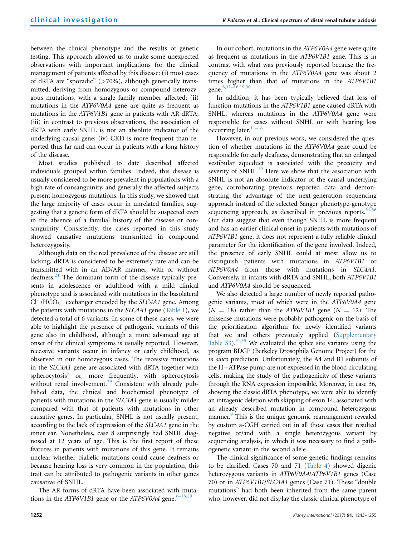between the clinical phenotype and the results of genetic testing. This approach allowed us to make some unexpected observations with important implications for the clinical management of patients affected by this disease: (i) most cases of dRTA are "sporadic" (>70%), although genetically transmitted, deriving from homozygous or compound heterozygous mutations, with a single family member affected; (ii) mutations in the ATP6V0A4 gene are quite as frequent as mutations in the ATP6V1B1 gene in patients with AR dRTA; (iii) in contrast to previous observations, the association of dRTA with early SNHL is not an absolute indicator of the underlying causal gene; (iv) CKD is more frequent than reported thus far and can occur in patients with a long history of the disease.

Most studies published to date described affected individuals grouped within families. Indeed, this disease is usually considered to be more prevalent in populations with a high rate of consanguinity, and generally the affected subjects present homozygous mutations. In this study, we showed that the large majority of cases occur in unrelated families, suggesting that a genetic form of dRTA should be suspected even in the absence of a familial history of the disease or consanguinity. Consistently, the cases reported in this study showed causative mutations transmitted in compound heterozygosity.

Although data on the real prevalence of the disease are still lacking, dRTA is considered to be extremely rare and can be transmitted with in an AD/AR manner, with or without deafness. $^{21}$  The dominant form of the disease typically presents in adolescence or adulthood with a mild clinical phenotype and is associated with mutations in the basolateral  $Cl^-/HCO_3^-$  exchanger encoded by the SLC4A1 gene. Among the patients with mutations in the  $SLCAA1$  gene ([Table 1](#page-1-0)), we detected a total of 6 variants. In some of these cases, we were able to highlight the presence of pathogenic variants of this gene also in childhood, although a more advanced age at onset of the clinical symptoms is usually reported. However, recessive variants occur in infancy or early childhood, as observed in our homozygous cases. The recessive mutations in the SLC4A1 gene are associated with dRTA together with  $spherocytosis<sup>7</sup>$  $spherocytosis<sup>7</sup>$  $spherocytosis<sup>7</sup>$  or, more frequently, with spherocytosis without renal involvement.<sup>[29](#page-12-0)</sup> Consistent with already published data, the clinical and biochemical phenotype of patients with mutations in the SLC4A1 gene is usually milder compared with that of patients with mutations in other causative genes. In particular, SNHL is not usually present, according to the lack of expression of the SLC4A1 gene in the inner ear. Nonetheless, case 8 surprisingly had SNHL diagnosed at 12 years of age. This is the first report of these features in patients with mutations of this gene. It remains unclear whether biallelic mutations could cause deafness or because hearing loss is very common in the population, this trait can be attributed to pathogenic variants in other genes causative of SNHL.

The AR forms of dRTA have been associated with muta-tions in the ATP6V1B1 gene or the ATP6V0A4 gene.<sup>8-[18,20](#page-12-0)</sup>

In our cohort, mutations in the ATP6V0A4 gene were quite as frequent as mutations in the ATP6V1B1 gene. This is in contrast with what was previously reported because the frequency of mutations in the ATP6V0A4 gene was about 2 times higher than that of mutations in the ATP6V1B1 gene.8,11–[16,19,30](#page-12-0)

In addition, it has been typically believed that loss of function mutations in the ATP6V1B1 gene caused dRTA with SNHL, whereas mutations in the ATP6V0A4 gene were responsible for cases without SNHL or with hearing loss occurring later.<sup>[11](#page-12-0)–18</sup>

However, in our previous work, we considered the question of whether mutations in the ATP6V0A4 gene could be responsible for early deafness, demonstrating that an enlarged vestibular aqueduct is associated with the precocity and severity of SNHL. $^{19}$  $^{19}$  $^{19}$  Here we show that the association with SNHL is not an absolute indicator of the causal underlying gene, corroborating previous reported data and demonstrating the advantage of the next-generation sequencing approach instead of the selected Sanger phenotype-genotype sequencing approach, as described in previous reports. $31,36$ Our data suggest that even though SNHL is more frequent and has an earlier clinical onset in patients with mutations of ATP6V1B1 gene, it does not represent a fully reliable clinical parameter for the identification of the gene involved. Indeed, the presence of early SNHL could at most allow us to distinguish patients with mutations in ATP6V1B1 or ATP6V0A4 from those with mutations in SLC4A1. Conversely, in infants with dRTA and SNHL, both ATP6V1B1 and ATP6V0A4 should be sequenced.

We also detected a large number of newly reported pathogenic variants, most of which were in the ATP6V0A4 gene  $(N = 18)$  rather than the *ATP6V1B1* gene  $(N = 12)$ . The missense mutations were probably pathogenic on the basis of the prioritization algorithm for newly identified variants that we and others previously applied (Supplementary Table  $S3$ ).<sup>[31,35](#page-12-0)</sup> We evaluated the splice site variants using the program BDGP (Berkeley Drosophila Genome Project) for the in silico prediction. Unfortunately, the A4 and B1 subunits of the  $H+ATP$ ase pump are not expressed in the blood circulating cells, making the study of the pathogenicity of these variants through the RNA expression impossible. Moreover, in case 36, showing the classic dRTA phenotype, we were able to identify an intragenic deletion with skipping of exon 14, associated with an already described mutation in compound heterozygous manner.<sup>9</sup> This is the unique genomic rearrangement revealed by custom a-CGH carried out in all those cases that resulted negative or/and with a single heterozygous variant by sequencing analysis, in which it was necessary to find a pathogenetic variant in the second allele.

The clinical significance of some genetic findings remains to be clarified. Cases 70 and 71 ([Table 4](#page-7-0)) showed digenic heterozygous variants in ATP6V0A4/ATP6V1B1 genes (Case 70) or in ATP6V1B1/SLC4A1 genes (Case 71). These "double mutations" had both been inherited from the same parent who, however, did not display the classic clinical phenotype of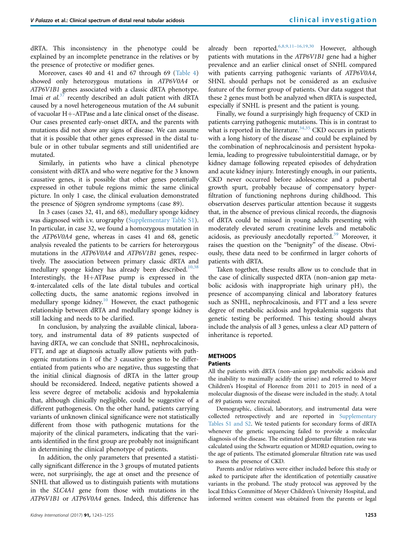dRTA. This inconsistency in the phenotype could be explained by an incomplete penetrance in the relatives or by the presence of protective or modifier genes.

Moreover, cases 40 and 41 and 67 through 69 [\(Table 4](#page-7-0)) showed only heterozygous mutations in ATP6V0A4 or ATP6V1B1 genes associated with a classic dRTA phenotype. Imai et al.<sup>[37](#page-12-0)</sup> recently described an adult patient with dRTA caused by a novel heterogeneous mutation of the A4 subunit of vacuolar  $H +$ -ATPase and a late clinical onset of the disease. Our cases presented early-onset dRTA, and the parents with mutations did not show any signs of disease. We can assume that it is possible that other genes expressed in the distal tubule or in other tubular segments and still unidentified are mutated.

Similarly, in patients who have a clinical phenotype consistent with dRTA and who were negative for the 3 known causative genes, it is possible that other genes potentially expressed in other tubule regions mimic the same clinical picture. In only 1 case, the clinical evaluation demonstrated the presence of Sjögren syndrome symptoms (case 89).

In 3 cases (cases 32, 41, and 68), medullary sponge kidney was diagnosed with i.v. urography (Supplementary Table S1). In particular, in case 32, we found a homozygous mutation in the ATP6V0A4 gene, whereas in cases 41 and 68, genetic analysis revealed the patients to be carriers for heterozygous mutations in the ATP6V0A4 and ATP6V1B1 genes, respectively. The association between primary classic dRTA and medullary sponge kidney has already been described.<sup>[10,38](#page-12-0)</sup> Interestingly, the  $H+ATP$ ase pump is expressed in the a-intercalated cells of the late distal tubules and cortical collecting ducts, the same anatomic regions involved in medullary sponge kidney.<sup>[10](#page-12-0)</sup> However, the exact pathogenic relationship between dRTA and medullary sponge kidney is still lacking and needs to be clarified.

In conclusion, by analyzing the available clinical, laboratory, and instrumental data of 89 patients suspected of having dRTA, we can conclude that SNHL, nephrocalcinosis, FTT, and age at diagnosis actually allow patients with pathogenic mutations in 1 of the 3 causative genes to be differentiated from patients who are negative, thus suggesting that the initial clinical diagnosis of dRTA in the latter group should be reconsidered. Indeed, negative patients showed a less severe degree of metabolic acidosis and hypokalemia that, although clinically negligible, could be suggestive of a different pathogenesis. On the other hand, patients carrying variants of unknown clinical significance were not statistically different from those with pathogenic mutations for the majority of the clinical parameters, indicating that the variants identified in the first group are probably not insignificant in determining the clinical phenotype of patients.

In addition, the only parameters that presented a statistically significant difference in the 3 groups of mutated patients were, not surprisingly, the age at onset and the presence of SNHL that allowed us to distinguish patients with mutations in the SLC4A1 gene from those with mutations in the ATP6V1B1 or ATP6V0A4 genes. Indeed, this difference has already been reported.<sup>6,8,9,11-[16,19,30](#page-12-0)</sup> However, although patients with mutations in the ATP6V1B1 gene had a higher prevalence and an earlier clinical onset of SNHL compared with patients carrying pathogenic variants of ATP6V0A4, SHNL should perhaps not be considered as an exclusive feature of the former group of patients. Our data suggest that these 2 genes must both be analyzed when dRTA is suspected, especially if SNHL is present and the patient is young.

Finally, we found a surprisingly high frequency of CKD in patients carrying pathogenic mutations. This is in contrast to what is reported in the literature. $34,35$  CKD occurs in patients with a long history of the disease and could be explained by the combination of nephrocalcinosis and persistent hypokalemia, leading to progressive tubulointerstitial damage, or by kidney damage following repeated episodes of dehydration and acute kidney injury. Interestingly enough, in our patients, CKD never occurred before adolescence and a pubertal growth spurt, probably because of compensatory hyperfiltration of functioning nephrons during childhood. This observation deserves particular attention because it suggests that, in the absence of previous clinical records, the diagnosis of dRTA could be missed in young adults presenting with moderately elevated serum creatinine levels and metabolic acidosis, as previously anecdotally reported.<sup>[39](#page-12-0)</sup> Moreover, it raises the question on the "benignity" of the disease. Obviously, these data need to be confirmed in larger cohorts of patients with dRTA.

Taken together, these results allow us to conclude that in the case of clinically suspected dRTA (non–anion gap metabolic acidosis with inappropriate high urinary pH), the presence of accompanying clinical and laboratory features such as SNHL, nephrocalcinosis, and FTT and a less severe degree of metabolic acidosis and hypokalemia suggests that genetic testing be performed. This testing should always include the analysis of all 3 genes, unless a clear AD pattern of inheritance is reported.

#### **METHODS**

#### **Patients**

All the patients with dRTA (non–anion gap metabolic acidosis and the inability to maximally acidify the urine) and referred to Meyer Children's Hospital of Florence from 2011 to 2015 in need of a molecular diagnosis of the disease were included in the study. A total of 89 patients were recruited.

Demographic, clinical, laboratory, and instrumental data were collected retrospectively and are reported in Supplementary Tables S1 and S2. We tested patients for secondary forms of dRTA whenever the genetic sequencing failed to provide a molecular diagnosis of the disease. The estimated glomerular filtration rate was calculated using the Schwartz equation or MDRD equation, owing to the age of patients. The estimated glomerular filtration rate was used to assess the presence of CKD.

Parents and/or relatives were either included before this study or asked to participate after the identification of potentially causative variants in the proband. The study protocol was approved by the local Ethics Committee of Meyer Children's University Hospital, and informed written consent was obtained from the parents or legal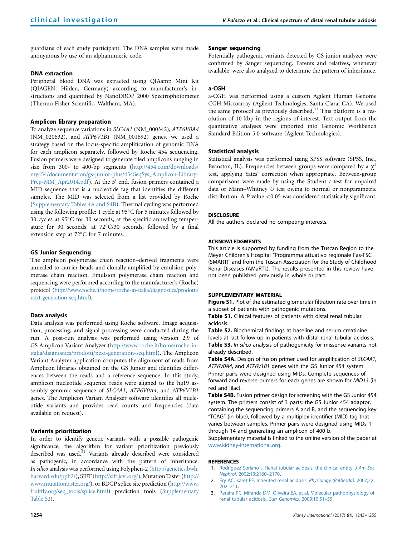<span id="page-11-0"></span>guardians of each study participant. The DNA samples were made anonymous by use of an alphanumeric code.

#### DNA extraction

Peripheral blood DNA was extracted using QIAamp Mini Kit (QIAGEN, Hilden, Germany) according to manufacturer's instructions and quantified by NanoDROP 2000 Spectrophotometer (Thermo Fisher Scientific, Waltham, MA).

#### Amplicon library preparation

To analyze sequence variations in SLC4A1 (NM\_000342), ATP6V0A4 (NM\_020632), and ATP6V1B1 (NM\_001692) genes, we used a strategy based on the locus-specific amplification of genomic DNA for each amplicon separately, followed by Roche 454 sequencing. Fusion primers were designed to generate tiled amplicons ranging in size from 300- to 400-bp segments ([http://454.com/downloads/](http://454.com/downloads/my454/documentation/gs-junior-plus/454SeqSys_Amplicon-Library-Prep-MM_Apr2014.pdf) [my454/documentation/gs-junior-plus/454SeqSys\\_Amplicon-Library-](http://454.com/downloads/my454/documentation/gs-junior-plus/454SeqSys_Amplicon-Library-Prep-MM_Apr2014.pdf)[Prep-MM\\_Apr2014.pdf](http://454.com/downloads/my454/documentation/gs-junior-plus/454SeqSys_Amplicon-Library-Prep-MM_Apr2014.pdf)). At the 5' end, fusion primers contained a MID sequence that is a nucleotide tag that identifies the different samples. The MID was selected from a list provided by Roche (Supplementary Tables 4A and S4B). Thermal cycling was performed using the following profile: 1 cycle at  $95^{\circ}$ C for 5 minutes followed by 30 cycles at  $95^{\circ}$ C for 30 seconds, at the specific annealing temperature for 30 seconds, at  $72^{\circ}$ C/30 seconds, followed by a final extension step at  $72^{\circ}$ C for 7 minutes.

#### GS Junior Sequencing

The amplicon polymerase chain reaction–derived fragments were annealed to carrier beads and clonally amplified by emulsion polymerase chain reaction. Emulsion polymerase chain reaction and sequencing were performed according to the manufacturer's (Roche) protocol ([http://www.roche.it/home/roche-in-italia/diagnostics/prodotti/](http://www.roche.it/home/roche-in-italia/diagnostics/prodotti/next-generation-seq.html) [next-generation-seq.html\)](http://www.roche.it/home/roche-in-italia/diagnostics/prodotti/next-generation-seq.html).

#### Data analysis

Data analysis was performed using Roche software. Image acquisition, processing, and signal processing were conducted during the run. A post-run analysis was performed using version 2.9 of GS Amplicon Variant Analyzer [\(http://www.roche.it/home/roche-in](http://www.roche.it/home/roche-in-italia/diagnostics/prodotti/next-generation-seq.html)[italia/diagnostics/prodotti/next-generation-seq.html\)](http://www.roche.it/home/roche-in-italia/diagnostics/prodotti/next-generation-seq.html). The Amplicon Variant Analyzer application computes the alignment of reads from Amplicon libraries obtained on the GS Junior and identifies differences between the reads and a reference sequence. In this study, amplicon nucleotide sequence reads were aligned to the hg19 assembly genomic sequence of SLC4A1, ATP6V0A4, and ATP6V1B1 genes. The Amplicon Variant Analyzer software identifies all nucleotide variants and provides read counts and frequencies (data available on request).

#### Variants prioritization

In order to identify genetic variants with a possible pathogenic significance, the algorithm for variant prioritization previously described was used.<sup>31</sup> Variants already described were considered as pathogenic, in accordance with the pattern of inheritance. In silico analysis was performed using Polyphen-2 [\(http://genetics.bwh.](http://genetics.bwh.harvard.edu/pph2/) [harvard.edu/pph2/](http://genetics.bwh.harvard.edu/pph2/)), SIFT [\(http://sift.jcvi.org/](http://sift.jcvi.org/)), Mutation Taster ([http://](http://www.mutationtaster.org/) [www.mutationtaster.org/\)](http://www.mutationtaster.org/), or BDGP splice site prediction [\(http://www.](http://www.fruitfly.org/seq_tools/splice.html) fruitfl[y.org/seq\\_tools/splice.html\)](http://www.fruitfly.org/seq_tools/splice.html) prediction tools (Supplementary Table S2).

#### Sanger sequencing

Potentially pathogenic variants detected by GS junior analyzer were confirmed by Sanger sequencing. Parents and relatives, whenever available, were also analyzed to determine the pattern of inheritance.

#### a-CGH

a-CGH was performed using a custom Agilent Human Genome CGH Microarray (Agilent Technologies, Santa Clara, CA). We used the same protocol as previously described.<sup>[31](#page-12-0)</sup> This platform is a resolution of 10 kbp in the regions of interest. Text output from the quantitative analyses were imported into Genomic Workbench Standard Edition 5.0 software (Agilent Technologies).

#### Statistical analysis

Statistical analysis was performed using SPSS software (SPSS, Inc., Evanston, IL). Frequencies between groups were compared by a  $\chi^2$ test, applying Yates' correction when appropriate. Between-group comparisons were made by using the Student  $t$  test for unpaired data or Mann–Whitney U test owing to normal or nonparametric distribution. A  $P$  value <0.05 was considered statistically significant.

#### DISCI OSURE

All the authors declared no competing interests.

#### ACKNOWLEDGMENTS

This article is supported by funding from the Tuscan Region to the Meyer Children's Hospital "Programma attuativo regionale Fas-FSC (SMART)" and from the Tuscan Association for the Study of Childhood Renal Diseases (AMaRTI.). The results presented in this review have not been published previously in whole or part.

#### SUPPLEMENTARY MATERIAL

Figure S1. Plot of the estimated glomerular filtration rate over time in a subset of patients with pathogenic mutations.

Table S1. Clinical features of patients with distal renal tubular acidosis.

Table S2. Biochemical findings at baseline and serum creatinine levels at last follow-up in patients with distal renal tubular acidosis. Table S3. In silico analysis of pathogenicity for missense variants not already described.

Table S4A. Design of fusion primer used for amplification of SLC4A1, ATP6V0A4, and ATP6V1B1 genes with the GS Junior 454 system. Primer pairs were designed using MIDs. Complete sequences of forward and reverse primers for each genes are shown for MID13 (in red and lilac).

Table S4B. Fusion primer design for screening with the GS Junior 454 system. The primers consist of 3 parts: the GS Junior 454 adaptor, containing the sequencing primers A and B, and the sequencing key "TCAG" (in blue), followed by a multiplex identifier (MID) tag that varies between samples. Primer pairs were designed using MIDs 1 through 14 and generating an amplicon of 400 b.

Supplementary material is linked to the online version of the paper at [www.kidney-international.org.](http://www.kidney-international.org)

#### **REFERENCES**

- 1. [Rodríguez Soriano J. Renal tubular acidosis: the clinical entity.](http://refhub.elsevier.com/S0085-2538(17)30001-7/sref1) J Am Soc Nephrol[. 2002;13:2160](http://refhub.elsevier.com/S0085-2538(17)30001-7/sref1)–2170.
- 2. [Fry AC, Karet FE. Inherited renal acidosis.](http://refhub.elsevier.com/S0085-2538(17)30001-7/sref2) Physiology (Bethesda). 2007;22: [202](http://refhub.elsevier.com/S0085-2538(17)30001-7/sref2)–211.
- 3. [Pereira PC, Miranda DM, Oliveira EA, et al. Molecular pathophysiology of](http://refhub.elsevier.com/S0085-2538(17)30001-7/sref3) [renal tubular acidosis.](http://refhub.elsevier.com/S0085-2538(17)30001-7/sref3) Curr Genomics. 2009;10:51–59.